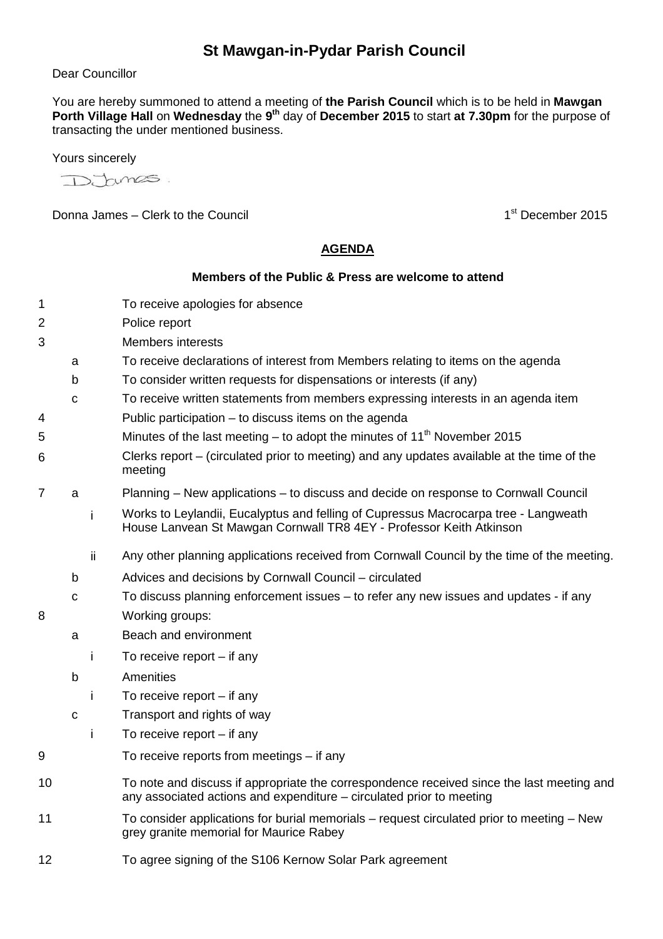## **St Mawgan-in-Pydar Parish Council**

## Dear Councillor

You are hereby summoned to attend a meeting of **the Parish Council** which is to be held in **Mawgan**  Porth Village Hall on Wednesday the 9<sup>th</sup> day of December 2015 to start at 7.30pm for the purpose of transacting the under mentioned business.

Yours sincerely

tunes.

Donna James – Clerk to the Council 1st December 2015

## **AGENDA**

## **Members of the Public & Press are welcome to attend**

- 1 To receive apologies for absence
- 2 Police report
- 3 Members interests
	- a To receive declarations of interest from Members relating to items on the agenda
	- b To consider written requests for dispensations or interests (if any)
	- c To receive written statements from members expressing interests in an agenda item
- 4 Public participation to discuss items on the agenda
- 5 Minutes of the last meeting to adopt the minutes of  $11<sup>th</sup>$  November 2015
- 6 Clerks report – (circulated prior to meeting) and any updates available at the time of the meeting
- 7 a Planning New applications to discuss and decide on response to Cornwall Council
	- i Works to Leylandii, Eucalyptus and felling of Cupressus Macrocarpa tree Langweath House Lanvean St Mawgan Cornwall TR8 4EY - Professor Keith Atkinson
	- ii Any other planning applications received from Cornwall Council by the time of the meeting.
	- b Advices and decisions by Cornwall Council circulated
- c To discuss planning enforcement issues to refer any new issues and updates if any 8 Working groups:
	- a Beach and environment
		- i To receive report if any
	- b Amenities
		- i To receive report if any
	- c Transport and rights of way
		- i To receive report if any
- 9 To receive reports from meetings if any
- 10 To note and discuss if appropriate the correspondence received since the last meeting and any associated actions and expenditure – circulated prior to meeting
- 11 To consider applications for burial memorials request circulated prior to meeting New grey granite memorial for Maurice Rabey
- 12 To agree signing of the S106 Kernow Solar Park agreement